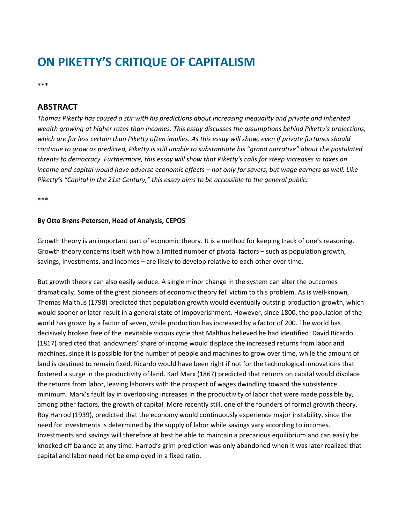# **ON PIKETTY'S CRITIQUE OF CAPITALISM**

\*\*\*

# **ABSTRACT**

*Thomas Piketty has caused a stir with his predictions about increasing inequality and private and inherited wealth growing at higher rates than incomes. This essay discusses the assumptions behind Piketty's projections, which are far less certain than Piketty often implies. As this essay will show, even if private fortunes should continue to grow as predicted, Piketty is still unable to substantiate his "grand narrative" about the postulated threats to democracy. Furthermore, this essay will show that Piketty's calls for steep increases in taxes on income and capital would have adverse economic effects – not only for savers, but wage earners as well. Like Piketty's "Capital in the 21st Century," this essay aims to be accessible to the general public.*

\*\*\*

#### **By Otto Brøns-Petersen, Head of Analysis, CEPOS**

Growth theory is an important part of economic theory. It is a method for keeping track of one's reasoning. Growth theory concerns itself with how a limited number of pivotal factors – such as population growth, savings, investments, and incomes – are likely to develop relative to each other over time.

But growth theory can also easily seduce. A single minor change in the system can alter the outcomes dramatically. Some of the great pioneers of economic theory fell victim to this problem. As is well-known, Thomas Malthus (1798) predicted that population growth would eventually outstrip production growth, which would sooner or later result in a general state of impoverishment. However, since 1800, the population of the world has grown by a factor of seven, while production has increased by a factor of 200. The world has decisively broken free of the inevitable vicious cycle that Malthus believed he had identified. David Ricardo (1817) predicted that landowners' share of income would displace the increased returns from labor and machines, since it is possible for the number of people and machines to grow over time, while the amount of land is destined to remain fixed. Ricardo would have been right if not for the technological innovations that fostered a surge in the productivity of land. Karl Marx (1867) predicted that returns on capital would displace the returns from labor, leaving laborers with the prospect of wages dwindling toward the subsistence minimum. Marx's fault lay in overlooking increases in the productivity of labor that were made possible by, among other factors, the growth of capital. More recently still, one of the founders of formal growth theory, Roy Harrod (1939), predicted that the economy would continuously experience major instability, since the need for investments is determined by the supply of labor while savings vary according to incomes. Investments and savings will therefore at best be able to maintain a precarious equilibrium and can easily be knocked off balance at any time. Harrod's grim prediction was only abandoned when it was later realized that capital and labor need not be employed in a fixed ratio.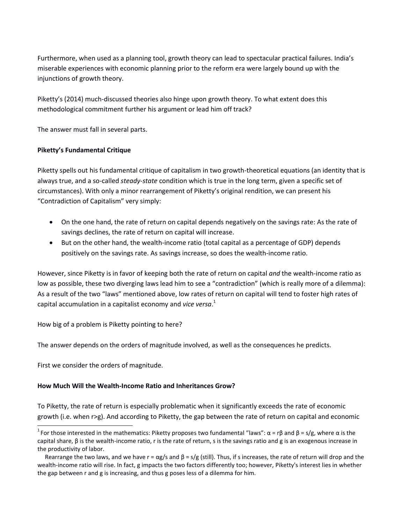Furthermore, when used as a planning tool, growth theory can lead to spectacular practical failures. India's miserable experiences with economic planning prior to the reform era were largely bound up with the injunctions of growth theory.

Piketty's (2014) much-discussed theories also hinge upon growth theory. To what extent does this methodological commitment further his argument or lead him off track?

The answer must fall in several parts.

## **Piketty's Fundamental Critique**

Piketty spells out his fundamental critique of capitalism in two growth-theoretical equations (an identity that is always true, and a so-called *steady-state* condition which is true in the long term, given a specific set of circumstances). With only a minor rearrangement of Piketty's original rendition, we can present his "Contradiction of Capitalism" very simply:

- On the one hand, the rate of return on capital depends negatively on the savings rate: As the rate of savings declines, the rate of return on capital will increase.
- But on the other hand, the wealth-income ratio (total capital as a percentage of GDP) depends positively on the savings rate. As savings increase, so does the wealth-income ratio.

However, since Piketty is in favor of keeping both the rate of return on capital *and* the wealth-income ratio as low as possible, these two diverging laws lead him to see a "contradiction" (which is really more of a dilemma): As a result of the two "laws" mentioned above, low rates of return on capital will tend to foster high rates of capital accumulation in a capitalist economy and *vice versa*. 1

How big of a problem is Piketty pointing to here?

The answer depends on the orders of magnitude involved, as well as the consequences he predicts.

First we consider the orders of magnitude.

 $\overline{\phantom{a}}$ 

### **How Much Will the Wealth-Income Ratio and Inheritances Grow?**

To Piketty, the rate of return is especially problematic when it significantly exceeds the rate of economic growth (i.e. when r>g). And according to Piketty, the gap between the rate of return on capital and economic

<sup>&</sup>lt;sup>1</sup> For those interested in the mathematics: Piketty proposes two fundamental "laws": α = rβ and β = s/g, where α is the capital share, β is the wealth-income ratio, r is the rate of return, s is the savings ratio and g is an exogenous increase in the productivity of labor.

Rearrange the two laws, and we have  $r = \alpha g/s$  and  $\beta = s/g$  (still). Thus, if s increases, the rate of return will drop and the wealth-income ratio will rise. In fact, g impacts the two factors differently too; however, Piketty's interest lies in whether the gap between r and g is increasing, and thus g poses less of a dilemma for him.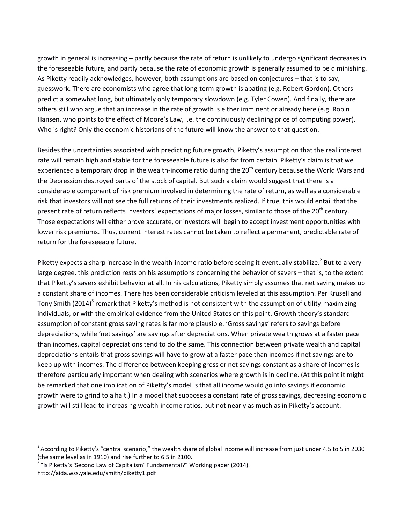growth in general is increasing – partly because the rate of return is unlikely to undergo significant decreases in the foreseeable future, and partly because the rate of economic growth is generally assumed to be diminishing. As Piketty readily acknowledges, however, both assumptions are based on conjectures – that is to say, guesswork. There are economists who agree that long-term growth is abating (e.g. Robert Gordon). Others predict a somewhat long, but ultimately only temporary slowdown (e.g. Tyler Cowen). And finally, there are others still who argue that an increase in the rate of growth is either imminent or already here (e.g. Robin Hansen, who points to the effect of Moore's Law, i.e. the continuously declining price of computing power). Who is right? Only the economic historians of the future will know the answer to that question.

Besides the uncertainties associated with predicting future growth, Piketty's assumption that the real interest rate will remain high and stable for the foreseeable future is also far from certain. Piketty's claim is that we experienced a temporary drop in the wealth-income ratio during the  $20<sup>th</sup>$  century because the World Wars and the Depression destroyed parts of the stock of capital. But such a claim would suggest that there is a considerable component of risk premium involved in determining the rate of return, as well as a considerable risk that investors will not see the full returns of their investments realized. If true, this would entail that the present rate of return reflects investors' expectations of major losses, similar to those of the 20<sup>th</sup> century. Those expectations will either prove accurate, or investors will begin to accept investment opportunities with lower risk premiums. Thus, current interest rates cannot be taken to reflect a permanent, predictable rate of return for the foreseeable future.

Piketty expects a sharp increase in the wealth-income ratio before seeing it eventually stabilize.<sup>2</sup> But to a very large degree, this prediction rests on his assumptions concerning the behavior of savers – that is, to the extent that Piketty's savers exhibit behavior at all. In his calculations, Piketty simply assumes that net saving makes up a constant share of incomes. There has been considerable criticism leveled at this assumption. Per Krusell and Tony Smith (2014)<sup>3</sup> remark that Piketty's method is not consistent with the assumption of utility-maximizing individuals, or with the empirical evidence from the United States on this point. Growth theory's standard assumption of constant gross saving rates is far more plausible. 'Gross savings' refers to savings before depreciations, while 'net savings' are savings after depreciations. When private wealth grows at a faster pace than incomes, capital depreciations tend to do the same. This connection between private wealth and capital depreciations entails that gross savings will have to grow at a faster pace than incomes if net savings are to keep up with incomes. The difference between keeping gross or net savings constant as a share of incomes is therefore particularly important when dealing with scenarios where growth is in decline. (At this point it might be remarked that one implication of Piketty's model is that all income would go into savings if economic growth were to grind to a halt.) In a model that supposes a constant rate of gross savings, decreasing economic growth will still lead to increasing wealth-income ratios, but not nearly as much as in Piketty's account.

 $\overline{a}$ 

<sup>&</sup>lt;sup>2</sup> According to Piketty's "central scenario," the wealth share of global income will increase from just under 4.5 to 5 in 2030 (the same level as in 1910) and rise further to 6.5 in 2100.

<sup>&</sup>lt;sup>3</sup>"Is Piketty's 'Second Law of Capitalism' Fundamental?" Working paper (2014). http://aida.wss.yale.edu/smith/piketty1.pdf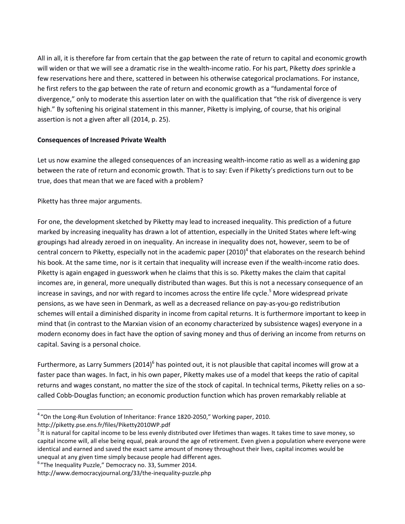All in all, it is therefore far from certain that the gap between the rate of return to capital and economic growth will widen or that we will see a dramatic rise in the wealth-income ratio. For his part, Piketty *does* sprinkle a few reservations here and there, scattered in between his otherwise categorical proclamations. For instance, he first refers to the gap between the rate of return and economic growth as a "fundamental force of divergence," only to moderate this assertion later on with the qualification that "the risk of divergence is very high." By softening his original statement in this manner, Piketty is implying, of course, that his original assertion is not a given after all (2014, p. 25).

### **Consequences of Increased Private Wealth**

Let us now examine the alleged consequences of an increasing wealth-income ratio as well as a widening gap between the rate of return and economic growth. That is to say: Even if Piketty's predictions turn out to be true, does that mean that we are faced with a problem?

Piketty has three major arguments.

For one, the development sketched by Piketty may lead to increased inequality. This prediction of a future marked by increasing inequality has drawn a lot of attention, especially in the United States where left-wing groupings had already zeroed in on inequality. An increase in inequality does not, however, seem to be of central concern to Piketty, especially not in the academic paper (2010)<sup>4</sup> that elaborates on the research behind his book. At the same time, nor is it certain that inequality will increase even if the wealth-income ratio does. Piketty is again engaged in guesswork when he claims that this is so. Piketty makes the claim that capital incomes are, in general, more unequally distributed than wages. But this is not a necessary consequence of an increase in savings, and nor with regard to incomes across the entire life cycle. <sup>5</sup> More widespread private pensions, as we have seen in Denmark, as well as a decreased reliance on pay-as-you-go redistribution schemes will entail a diminished disparity in income from capital returns. It is furthermore important to keep in mind that (in contrast to the Marxian vision of an economy characterized by subsistence wages) everyone in a modern economy does in fact have the option of saving money and thus of deriving an income from returns on capital. Saving is a personal choice.

Furthermore, as Larry Summers (2014)<sup>6</sup> has pointed out, it is not plausible that capital incomes will grow at a faster pace than wages. In fact, in his own paper, Piketty makes use of a model that keeps the ratio of capital returns and wages constant, no matter the size of the stock of capital. In technical terms, Piketty relies on a socalled Cobb-Douglas function; an economic production function which has proven remarkably reliable at

<sup>6</sup> "The Inequality Puzzle," Democracy no. 33, Summer 2014.

 4 "On the Long-Run Evolution of Inheritance: France 1820-2050," Working paper, 2010.

http://piketty.pse.ens.fr/files/Piketty2010WP.pdf

 $5$  It is natural for capital income to be less evenly distributed over lifetimes than wages. It takes time to save money, so capital income will, all else being equal, peak around the age of retirement. Even given a population where everyone were identical and earned and saved the exact same amount of money throughout their lives, capital incomes would be unequal at any given time simply because people had different ages.

http://www.democracyjournal.org/33/the-inequality-puzzle.php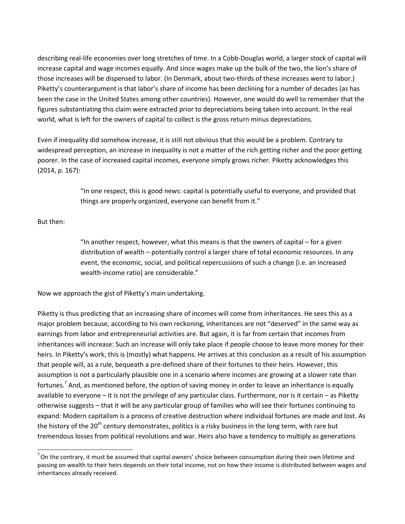describing real-life economies over long stretches of time. In a Cobb-Douglas world, a larger stock of capital will increase capital and wage incomes equally. And since wages make up the bulk of the two, the lion's share of those increases will be dispensed to labor. (In Denmark, about two-thirds of these increases went to labor.) Piketty's counterargument is that labor's share of income has been declining for a number of decades (as has been the case in the United States among other countries). However, one would do well to remember that the figures substantiating this claim were extracted prior to depreciations being taken into account. In the real world, what is left for the owners of capital to collect is the gross return minus depreciations.

Even if inequality did somehow increase, it is still not obvious that this would be a problem. Contrary to widespread perception, an increase in inequality is not a matter of the rich getting richer and the poor getting poorer. In the case of increased capital incomes, everyone simply grows richer. Piketty acknowledges this (2014, p. 167):

> "In one respect, this is good news: capital is potentially useful to everyone, and provided that things are properly organized, everyone can benefit from it."

But then:

 $\overline{\phantom{a}}$ 

"In another respect, however, what this means is that the owners of capital – for a given distribution of wealth – potentially control a larger share of total economic resources. In any event, the economic, social, and political repercussions of such a change [i.e. an increased wealth-income ratio] are considerable."

Now we approach the gist of Piketty's main undertaking.

Piketty is thus predicting that an increasing share of incomes will come from inheritances. He sees this as a major problem because, according to his own reckoning, inheritances are not "deserved" in the same way as earnings from labor and entrepreneurial activities are. But again, it is far from certain that incomes from inheritances will increase: Such an increase will only take place if people choose to leave more money for their heirs. In Piketty's work, this is (mostly) what happens. He arrives at this conclusion as a result of his assumption that people will, as a rule, bequeath a pre-defined share of their fortunes to their heirs. However, this assumption is not a particularly plausible one in a scenario where incomes are growing at a slower rate than fortunes.<sup>7</sup> And, as mentioned before, the option of saving money in order to leave an inheritance is equally available to everyone – it is not the privilege of any particular class. Furthermore, nor is it certain – as Piketty otherwise suggests – that it will be any particular group of families who will see their fortunes continuing to expand: Modern capitalism is a process of creative destruction where individual fortunes are made and lost. As the history of the 20<sup>th</sup> century demonstrates, politics is a risky business in the long term, with rare but tremendous losses from political revolutions and war. Heirs also have a tendency to multiply as generations

 $^7$  On the contrary, it must be assumed that capital owners' choice between consumption during their own lifetime and passing on wealth to their heirs depends on their total income, not on how their income is distributed between wages and inheritances already received.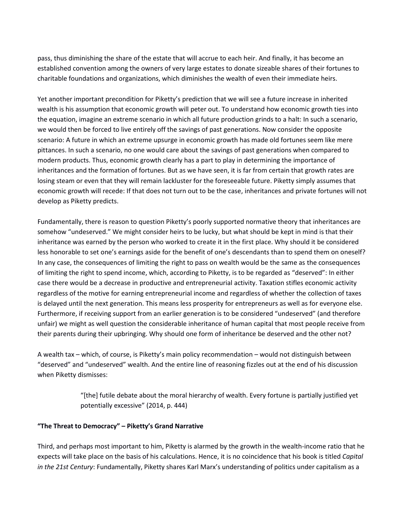pass, thus diminishing the share of the estate that will accrue to each heir. And finally, it has become an established convention among the owners of very large estates to donate sizeable shares of their fortunes to charitable foundations and organizations, which diminishes the wealth of even their immediate heirs.

Yet another important precondition for Piketty's prediction that we will see a future increase in inherited wealth is his assumption that economic growth will peter out. To understand how economic growth ties into the equation, imagine an extreme scenario in which all future production grinds to a halt: In such a scenario, we would then be forced to live entirely off the savings of past generations. Now consider the opposite scenario: A future in which an extreme upsurge in economic growth has made old fortunes seem like mere pittances. In such a scenario, no one would care about the savings of past generations when compared to modern products. Thus, economic growth clearly has a part to play in determining the importance of inheritances and the formation of fortunes. But as we have seen, it is far from certain that growth rates are losing steam or even that they will remain lackluster for the foreseeable future. Piketty simply assumes that economic growth will recede: If that does not turn out to be the case, inheritances and private fortunes will not develop as Piketty predicts.

Fundamentally, there is reason to question Piketty's poorly supported normative theory that inheritances are somehow "undeserved." We might consider heirs to be lucky, but what should be kept in mind is that their inheritance was earned by the person who worked to create it in the first place. Why should it be considered less honorable to set one's earnings aside for the benefit of one's descendants than to spend them on oneself? In any case, the consequences of limiting the right to pass on wealth would be the same as the consequences of limiting the right to spend income, which, according to Piketty, is to be regarded as "deserved": In either case there would be a decrease in productive and entrepreneurial activity. Taxation stifles economic activity regardless of the motive for earning entrepreneurial income and regardless of whether the collection of taxes is delayed until the next generation. This means less prosperity for entrepreneurs as well as for everyone else. Furthermore, if receiving support from an earlier generation is to be considered "undeserved" (and therefore unfair) we might as well question the considerable inheritance of human capital that most people receive from their parents during their upbringing. Why should one form of inheritance be deserved and the other not?

A wealth tax – which, of course, is Piketty's main policy recommendation – would not distinguish between "deserved" and "undeserved" wealth. And the entire line of reasoning fizzles out at the end of his discussion when Piketty dismisses:

> "[the] futile debate about the moral hierarchy of wealth. Every fortune is partially justified yet potentially excessive" (2014, p. 444)

### **"The Threat to Democracy" – Piketty's Grand Narrative**

Third, and perhaps most important to him, Piketty is alarmed by the growth in the wealth-income ratio that he expects will take place on the basis of his calculations. Hence, it is no coincidence that his book is titled *Capital in the 21st Century*: Fundamentally, Piketty shares Karl Marx's understanding of politics under capitalism as a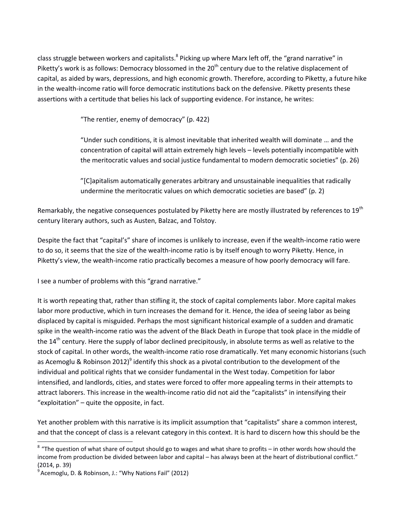class struggle between workers and capitalists.<sup>8</sup> Picking up where Marx left off, the "grand narrative" in Piketty's work is as follows: Democracy blossomed in the 20<sup>th</sup> century due to the relative displacement of capital, as aided by wars, depressions, and high economic growth. Therefore, according to Piketty, a future hike in the wealth-income ratio will force democratic institutions back on the defensive. Piketty presents these assertions with a certitude that belies his lack of supporting evidence. For instance, he writes:

"The rentier, enemy of democracy" (p. 422)

"Under such conditions, it is almost inevitable that inherited wealth will dominate … and the concentration of capital will attain extremely high levels – levels potentially incompatible with the meritocratic values and social justice fundamental to modern democratic societies" (p. 26)

"[C]apitalism automatically generates arbitrary and unsustainable inequalities that radically undermine the meritocratic values on which democratic societies are based" (p. 2)

Remarkably, the negative consequences postulated by Piketty here are mostly illustrated by references to 19<sup>th</sup> century literary authors, such as Austen, Balzac, and Tolstoy.

Despite the fact that "capital's" share of incomes is unlikely to increase, even if the wealth-income ratio were to do so, it seems that the size of the wealth-income ratio is by itself enough to worry Piketty. Hence, in Piketty's view, the wealth-income ratio practically becomes a measure of how poorly democracy will fare.

I see a number of problems with this "grand narrative."

It is worth repeating that, rather than stifling it, the stock of capital complements labor. More capital makes labor more productive, which in turn increases the demand for it. Hence, the idea of seeing labor as being displaced by capital is misguided. Perhaps the most significant historical example of a sudden and dramatic spike in the wealth-income ratio was the advent of the Black Death in Europe that took place in the middle of the 14<sup>th</sup> century. Here the supply of labor declined precipitously, in absolute terms as well as relative to the stock of capital. In other words, the wealth-income ratio rose dramatically. Yet many economic historians (such as Acemoglu & Robinson 2012)<sup>9</sup> identify this shock as a pivotal contribution to the development of the individual and political rights that we consider fundamental in the West today. Competition for labor intensified, and landlords, cities, and states were forced to offer more appealing terms in their attempts to attract laborers. This increase in the wealth-income ratio did not aid the "capitalists" in intensifying their "exploitation" – quite the opposite, in fact.

Yet another problem with this narrative is its implicit assumption that "capitalists" share a common interest, and that the concept of class is a relevant category in this context. It is hard to discern how this should be the

 $\overline{a}$ 

 $8$  "The question of what share of output should go to wages and what share to profits – in other words how should the income from production be divided between labor and capital – has always been at the heart of distributional conflict." (2014, p. 39)

<sup>&</sup>lt;sup>9</sup> Acemoglu, D. & Robinson, J.: "Why Nations Fail" (2012)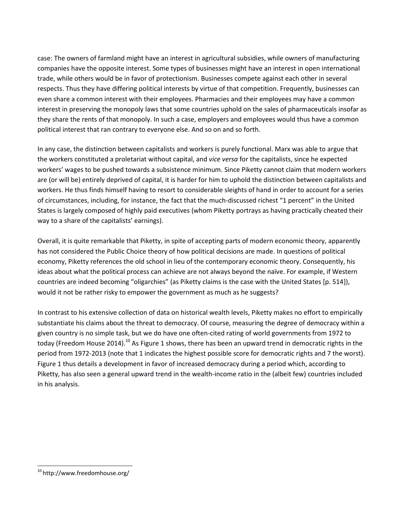case: The owners of farmland might have an interest in agricultural subsidies, while owners of manufacturing companies have the opposite interest. Some types of businesses might have an interest in open international trade, while others would be in favor of protectionism. Businesses compete against each other in several respects. Thus they have differing political interests by virtue of that competition. Frequently, businesses can even share a common interest with their employees. Pharmacies and their employees may have a common interest in preserving the monopoly laws that some countries uphold on the sales of pharmaceuticals insofar as they share the rents of that monopoly. In such a case, employers and employees would thus have a common political interest that ran contrary to everyone else. And so on and so forth.

In any case, the distinction between capitalists and workers is purely functional. Marx was able to argue that the workers constituted a proletariat without capital, and *vice versa* for the capitalists, since he expected workers' wages to be pushed towards a subsistence minimum. Since Piketty cannot claim that modern workers are (or will be) entirely deprived of capital, it is harder for him to uphold the distinction between capitalists and workers. He thus finds himself having to resort to considerable sleights of hand in order to account for a series of circumstances, including, for instance, the fact that the much-discussed richest "1 percent" in the United States is largely composed of highly paid executives (whom Piketty portrays as having practically cheated their way to a share of the capitalists' earnings).

Overall, it is quite remarkable that Piketty, in spite of accepting parts of modern economic theory, apparently has not considered the Public Choice theory of how political decisions are made. In questions of political economy, Piketty references the old school in lieu of the contemporary economic theory. Consequently, his ideas about what the political process can achieve are not always beyond the naïve. For example, if Western countries are indeed becoming "oligarchies" (as Piketty claims is the case with the United States [p. 514]), would it not be rather risky to empower the government as much as he suggests?

In contrast to his extensive collection of data on historical wealth levels, Piketty makes no effort to empirically substantiate his claims about the threat to democracy. Of course, measuring the degree of democracy within a given country is no simple task, but we do have one often-cited rating of world governments from 1972 to today (Freedom House 2014).<sup>10</sup> As Figure 1 shows, there has been an upward trend in democratic rights in the period from 1972-2013 (note that 1 indicates the highest possible score for democratic rights and 7 the worst). Figure 1 thus details a development in favor of increased democracy during a period which, according to Piketty, has also seen a general upward trend in the wealth-income ratio in the (albeit few) countries included in his analysis.

 $\overline{\phantom{a}}$ 

<sup>&</sup>lt;sup>10</sup> http://www.freedomhouse.org/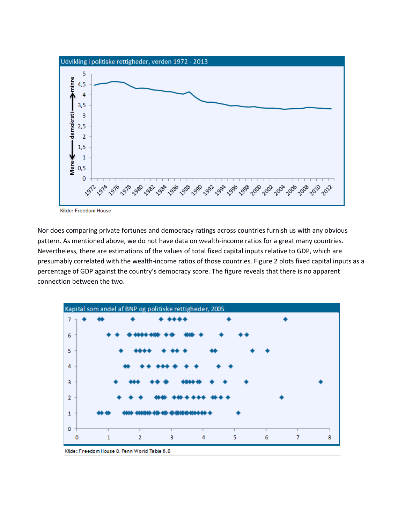

Kilde: Freedom House

Nor does comparing private fortunes and democracy ratings across countries furnish us with any obvious pattern. As mentioned above, we do not have data on wealth-income ratios for a great many countries. Nevertheless, there are estimations of the values of total fixed capital inputs relative to GDP, which are presumably correlated with the wealth-income ratios of those countries. Figure 2 plots fixed capital inputs as a percentage of GDP against the country's democracy score. The figure reveals that there is no apparent connection between the two.



Kilde: Freedom House & Penn World Table 8.0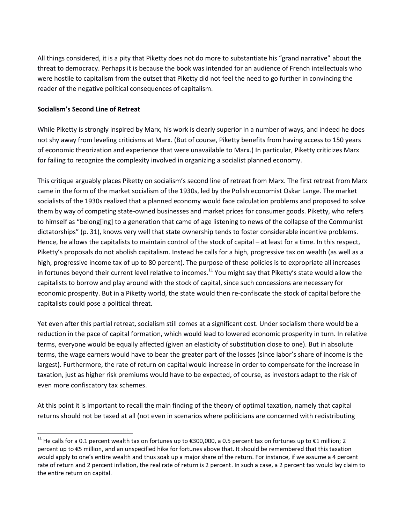All things considered, it is a pity that Piketty does not do more to substantiate his "grand narrative" about the threat to democracy. Perhaps it is because the book was intended for an audience of French intellectuals who were hostile to capitalism from the outset that Piketty did not feel the need to go further in convincing the reader of the negative political consequences of capitalism.

#### **Socialism's Second Line of Retreat**

 $\overline{\phantom{a}}$ 

While Piketty is strongly inspired by Marx, his work is clearly superior in a number of ways, and indeed he does not shy away from leveling criticisms at Marx. (But of course, Piketty benefits from having access to 150 years of economic theorization and experience that were unavailable to Marx.) In particular, Piketty criticizes Marx for failing to recognize the complexity involved in organizing a socialist planned economy.

This critique arguably places Piketty on socialism's second line of retreat from Marx. The first retreat from Marx came in the form of the market socialism of the 1930s, led by the Polish economist Oskar Lange. The market socialists of the 1930s realized that a planned economy would face calculation problems and proposed to solve them by way of competing state-owned businesses and market prices for consumer goods. Piketty, who refers to himself as "belong[ing] to a generation that came of age listening to news of the collapse of the Communist dictatorships" (p. 31), knows very well that state ownership tends to foster considerable incentive problems. Hence, he allows the capitalists to maintain control of the stock of capital – at least for a time. In this respect, Piketty's proposals do not abolish capitalism. Instead he calls for a high, progressive tax on wealth (as well as a high, progressive income tax of up to 80 percent). The purpose of these policies is to expropriate all increases in fortunes beyond their current level relative to incomes.<sup>11</sup> You might say that Piketty's state would allow the capitalists to borrow and play around with the stock of capital, since such concessions are necessary for economic prosperity. But in a Piketty world, the state would then re-confiscate the stock of capital before the capitalists could pose a political threat.

Yet even after this partial retreat, socialism still comes at a significant cost. Under socialism there would be a reduction in the pace of capital formation, which would lead to lowered economic prosperity in turn. In relative terms, everyone would be equally affected (given an elasticity of substitution close to one). But in absolute terms, the wage earners would have to bear the greater part of the losses (since labor's share of income is the largest). Furthermore, the rate of return on capital would increase in order to compensate for the increase in taxation, just as higher risk premiums would have to be expected, of course, as investors adapt to the risk of even more confiscatory tax schemes.

At this point it is important to recall the main finding of the theory of optimal taxation, namely that capital returns should not be taxed at all (not even in scenarios where politicians are concerned with redistributing

<sup>&</sup>lt;sup>11</sup> He calls for a 0.1 percent wealth tax on fortunes up to €300,000, a 0.5 percent tax on fortunes up to €1 million; 2 percent up to €5 million, and an unspecified hike for fortunes above that. It should be remembered that this taxation would apply to one's entire wealth and thus soak up a major share of the return. For instance, if we assume a 4 percent rate of return and 2 percent inflation, the real rate of return is 2 percent. In such a case, a 2 percent tax would lay claim to the entire return on capital.